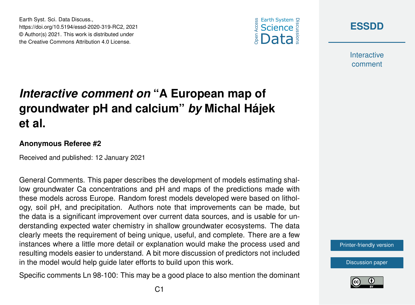Earth Syst. Sci. Data Discuss., https://doi.org/10.5194/essd-2020-319-RC2, 2021 © Author(s) 2021. This work is distributed under the Creative Commons Attribution 4.0 License.





**Interactive** comment

## *Interactive comment on* **"A European map of groundwater pH and calcium"** *by* **Michal Hájek et al.**

## **Anonymous Referee #2**

Received and published: 12 January 2021

General Comments. This paper describes the development of models estimating shallow groundwater Ca concentrations and pH and maps of the predictions made with these models across Europe. Random forest models developed were based on lithology, soil pH, and precipitation. Authors note that improvements can be made, but the data is a significant improvement over current data sources, and is usable for understanding expected water chemistry in shallow groundwater ecosystems. The data clearly meets the requirement of being unique, useful, and complete. There are a few instances where a little more detail or explanation would make the process used and resulting models easier to understand. A bit more discussion of predictors not included in the model would help guide later efforts to build upon this work.

Specific comments Ln 98-100: This may be a good place to also mention the dominant



[Discussion paper](https://essd.copernicus.org/preprints/essd-2020-319)